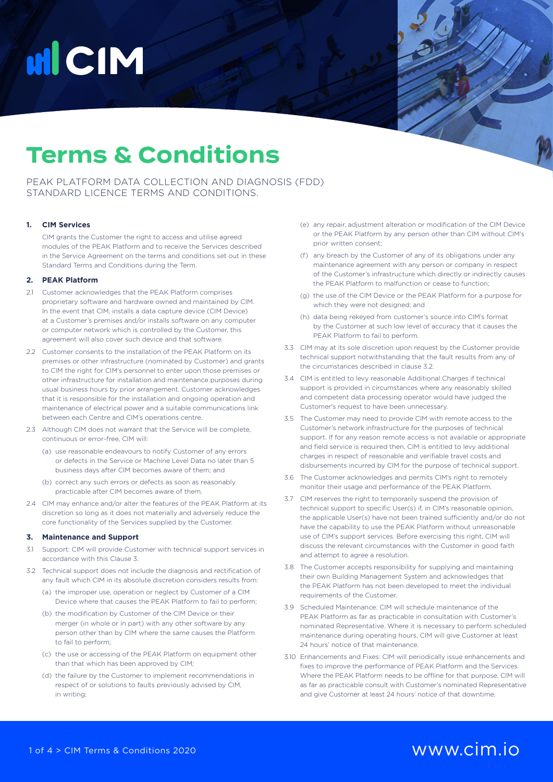# **HICIM**

### **Terms & Conditions**

PEAK PLATFORM DATA COLLECTION AND DIAGNOSIS (FDD) STANDARD LICENCE TERMS AND CONDITIONS.

### **1. CIM Services**

CIM grants the Customer the right to access and utilise agreed modules of the PEAK Platform and to receive the Services described in the Service Agreement on the terms and conditions set out in these Standard Terms and Conditions during the Term.

### **2. PEAK Platform**

- 2.1 Customer acknowledges that the PEAK Platform comprises proprietary software and hardware owned and maintained by CIM. In the event that CIM, installs a data capture device (CIM Device) at a Customer's premises and/or installs software on any computer or computer network which is controlled by the Customer, this agreement will also cover such device and that software.
- 2.2 Customer consents to the installation of the PEAK Platform on its premises or other infrastructure (nominated by Customer) and grants to CIM the right for CIM's personnel to enter upon those premises or other infrastructure for installation and maintenance purposes during usual business hours by prior arrangement. Customer acknowledges that it is responsible for the installation and ongoing operation and maintenance of electrical power and a suitable communications link between each Centre and CIM's operations centre.
- 2.3 Although CIM does not warrant that the Service will be complete, continuous or error-free, CIM will:
	- (a) use reasonable endeavours to notify Customer of any errors or defects in the Service or Machine Level Data no later than 5 business days after CIM becomes aware of them; and
	- (b) correct any such errors or defects as soon as reasonably practicable after CIM becomes aware of them.
- 2.4 CIM may enhance and/or alter the features of the PEAK Platform at its discretion so long as it does not materially and adversely reduce the core functionality of the Services supplied by the Customer.

#### **3. Maintenance and Support**

- 3.1 Support: CIM will provide Customer with technical support services in accordance with this Clause 3.
- 3.2 Technical support does not include the diagnosis and rectification of any fault which CIM in its absolute discretion considers results from:
	- (a) the improper use, operation or neglect by Customer of a CIM Device where that causes the PEAK Platform to fail to perform;
	- (b) the modification by Customer of the CIM Device or their merger (in whole or in part) with any other software by any person other than by CIM where the same causes the Platform to fail to perform;
	- (c) the use or accessing of the PEAK Platform on equipment other than that which has been approved by CIM;
	- (d) the failure by the Customer to implement recommendations in respect of or solutions to faults previously advised by CIM, in writing;
- (e) any repair, adjustment alteration or modification of the CIM Device or the PEAK Platform by any person other than CIM without CIM's prior written consent;
- (f) any breach by the Customer of any of its obligations under any maintenance agreement with any person or company in respect of the Customer's infrastructure which directly or indirectly causes the PEAK Platform to malfunction or cease to function;
- (g) the use of the CIM Device or the PEAK Platform for a purpose for which they were not designed; and
- (h) data being rekeyed from customer's source into CIM's format by the Customer at such low level of accuracy that it causes the PEAK Platform to fail to perform.
- 3.3 CIM may at its sole discretion upon request by the Customer provide technical support notwithstanding that the fault results from any of the circumstances described in clause 3.2.
- 3.4 CIM is entitled to levy reasonable Additional Charges if technical support is provided in circumstances where any reasonably skilled and competent data processing operator would have judged the Customer's request to have been unnecessary.
- 3.5 The Customer may need to provide CIM with remote access to the Customer's network infrastructure for the purposes of technical support. If for any reason remote access is not available or appropriate and field service is required then, CIM is entitled to levy additional charges in respect of reasonable and verifiable travel costs and disbursements incurred by CIM for the purpose of technical support.
- 3.6 The Customer acknowledges and permits CIM's right to remotely monitor their usage and performance of the PEAK Platform.
- 3.7 CIM reserves the right to temporarily suspend the provision of technical support to specific User(s) if, in CIM's reasonable opinion, the applicable User(s) have not been trained sufficiently and/or do not have the capability to use the PEAK Platform without unreasonable use of CIM's support services. Before exercising this right, CIM will discuss the relevant circumstances with the Customer in good faith and attempt to agree a resolution.
- 3.8 The Customer accepts responsibility for supplying and maintaining their own Building Management System and acknowledges that the PEAK Platform has not been developed to meet the individual requirements of the Customer.
- 3.9 Scheduled Maintenance: CIM will schedule maintenance of the PEAK Platform as far as practicable in consultation with Customer's nominated Representative. Where it is necessary to perform scheduled maintenance during operating hours, CIM will give Customer at least 24 hours' notice of that maintenance.
- 3.10 Enhancements and Fixes: CIM will periodically issue enhancements and fixes to improve the performance of PEAK Platform and the Services. Where the PEAK Platform needs to be offline for that purpose, CIM will as far as practicable consult with Customer's nominated Representative and give Customer at least 24 hours' notice of that downtime.

### 1 of 4 > CIM Terms & Conditions 2020 www.cim.io.com/www.cim.io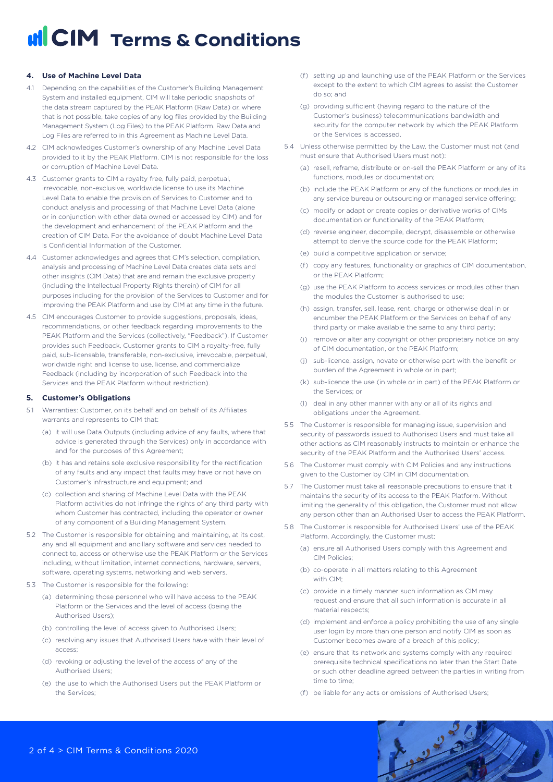### **4. Use of Machine Level Data**

- 4.1 Depending on the capabilities of the Customer's Building Management System and installed equipment, CIM will take periodic snapshots of the data stream captured by the PEAK Platform (Raw Data) or, where that is not possible, take copies of any log files provided by the Building Management System (Log Files) to the PEAK Platform. Raw Data and Log Files are referred to in this Agreement as Machine Level Data.
- 4.2 CIM acknowledges Customer's ownership of any Machine Level Data provided to it by the PEAK Platform. CIM is not responsible for the loss or corruption of Machine Level Data.
- 4.3 Customer grants to CIM a royalty free, fully paid, perpetual, irrevocable, non-exclusive, worldwide license to use its Machine Level Data to enable the provision of Services to Customer and to conduct analysis and processing of that Machine Level Data (alone or in conjunction with other data owned or accessed by CIM) and for the development and enhancement of the PEAK Platform and the creation of CIM Data. For the avoidance of doubt Machine Level Data is Confidential Information of the Customer.
- 4.4 Customer acknowledges and agrees that CIM's selection, compilation, analysis and processing of Machine Level Data creates data sets and other insights (CIM Data) that are and remain the exclusive property (including the Intellectual Property Rights therein) of CIM for all purposes including for the provision of the Services to Customer and for improving the PEAK Platform and use by CIM at any time in the future.
- 4.5 CIM encourages Customer to provide suggestions, proposals, ideas, recommendations, or other feedback regarding improvements to the PEAK Platform and the Services (collectively, "Feedback"). If Customer provides such Feedback, Customer grants to CIM a royalty-free, fully paid, sub-licensable, transferable, non-exclusive, irrevocable, perpetual, worldwide right and license to use, license, and commercialize Feedback (including by incorporation of such Feedback into the Services and the PEAK Platform without restriction).

#### **5. Customer's Obligations**

- 5.1 Warranties: Customer, on its behalf and on behalf of its Affiliates warrants and represents to CIM that:
	- (a) it will use Data Outputs (including advice of any faults, where that advice is generated through the Services) only in accordance with and for the purposes of this Agreement;
	- (b) it has and retains sole exclusive responsibility for the rectification of any faults and any impact that faults may have or not have on Customer's infrastructure and equipment; and
	- (c) collection and sharing of Machine Level Data with the PEAK Platform activities do not infringe the rights of any third party with whom Customer has contracted, including the operator or owner of any component of a Building Management System.
- 5.2 The Customer is responsible for obtaining and maintaining, at its cost, any and all equipment and ancillary software and services needed to connect to, access or otherwise use the PEAK Platform or the Services including, without limitation, internet connections, hardware, servers, software, operating systems, networking and web servers.
- 5.3 The Customer is responsible for the following:
	- (a) determining those personnel who will have access to the PEAK Platform or the Services and the level of access (being the Authorised Users);
	- (b) controlling the level of access given to Authorised Users;
	- (c) resolving any issues that Authorised Users have with their level of access;
	- (d) revoking or adjusting the level of the access of any of the Authorised Users;
	- (e) the use to which the Authorised Users put the PEAK Platform or the Services;
- (f) setting up and launching use of the PEAK Platform or the Services except to the extent to which CIM agrees to assist the Customer do so; and
- (g) providing sufficient (having regard to the nature of the Customer's business) telecommunications bandwidth and security for the computer network by which the PEAK Platform or the Services is accessed.
- 5.4 Unless otherwise permitted by the Law, the Customer must not (and must ensure that Authorised Users must not):
	- (a) resell, reframe, distribute or on-sell the PEAK Platform or any of its functions, modules or documentation;
	- (b) include the PEAK Platform or any of the functions or modules in any service bureau or outsourcing or managed service offering;
	- (c) modify or adapt or create copies or derivative works of CIMs documentation or functionality of the PEAK Platform;
	- (d) reverse engineer, decompile, decrypt, disassemble or otherwise attempt to derive the source code for the PEAK Platform;
	- (e) build a competitive application or service;
	- (f) copy any features, functionality or graphics of CIM documentation, or the PEAK Platform;
	- (g) use the PEAK Platform to access services or modules other than the modules the Customer is authorised to use;
	- (h) assign, transfer, sell, lease, rent, charge or otherwise deal in or encumber the PEAK Platform or the Services on behalf of any third party or make available the same to any third party;
	- (i) remove or alter any copyright or other proprietary notice on any of CIM documentation, or the PEAK Platform;
	- (j) sub-licence, assign, novate or otherwise part with the benefit or burden of the Agreement in whole or in part;
	- (k) sub-licence the use (in whole or in part) of the PEAK Platform or the Services; or
	- (l) deal in any other manner with any or all of its rights and obligations under the Agreement.
- 5.5 The Customer is responsible for managing issue, supervision and security of passwords issued to Authorised Users and must take all other actions as CIM reasonably instructs to maintain or enhance the security of the PEAK Platform and the Authorised Users' access.
- 5.6 The Customer must comply with CIM Policies and any instructions given to the Customer by CIM in CIM documentation.
- 5.7 The Customer must take all reasonable precautions to ensure that it maintains the security of its access to the PEAK Platform. Without limiting the generality of this obligation, the Customer must not allow any person other than an Authorised User to access the PEAK Platform.
- 5.8 The Customer is responsible for Authorised Users' use of the PEAK Platform. Accordingly, the Customer must:
	- (a) ensure all Authorised Users comply with this Agreement and CIM Policies;
	- (b) co-operate in all matters relating to this Agreement with CIM;
	- (c) provide in a timely manner such information as CIM may request and ensure that all such information is accurate in all material respects;
	- (d) implement and enforce a policy prohibiting the use of any single user login by more than one person and notify CIM as soon as Customer becomes aware of a breach of this policy;
	- (e) ensure that its network and systems comply with any required prerequisite technical specifications no later than the Start Date or such other deadline agreed between the parties in writing from time to time;

April

(f) be liable for any acts or omissions of Authorised Users;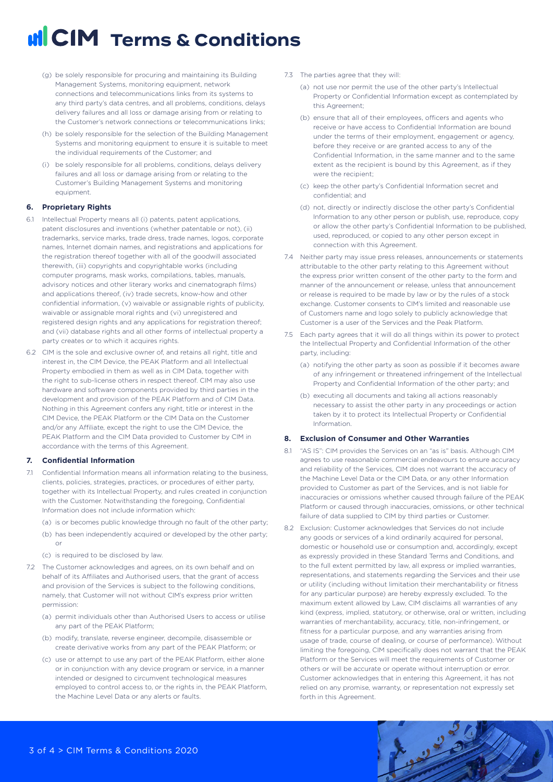- (g) be solely responsible for procuring and maintaining its Building Management Systems, monitoring equipment, network connections and telecommunications links from its systems to any third party's data centres, and all problems, conditions, delays delivery failures and all loss or damage arising from or relating to the Customer's network connections or telecommunications links;
- (h) be solely responsible for the selection of the Building Management Systems and monitoring equipment to ensure it is suitable to meet the individual requirements of the Customer; and
- (i) be solely responsible for all problems, conditions, delays delivery failures and all loss or damage arising from or relating to the Customer's Building Management Systems and monitoring equipment.

### **6. Proprietary Rights**

- 6.1 Intellectual Property means all (i) patents, patent applications, patent disclosures and inventions (whether patentable or not), (ii) trademarks, service marks, trade dress, trade names, logos, corporate names, Internet domain names, and registrations and applications for the registration thereof together with all of the goodwill associated therewith, (iii) copyrights and copyrightable works (including computer programs, mask works, compilations, tables, manuals, advisory notices and other literary works and cinematograph films) and applications thereof, (iv) trade secrets, know-how and other confidential information, (v) waivable or assignable rights of publicity, waivable or assignable moral rights and (vi) unregistered and registered design rights and any applications for registration thereof; and (vii) database rights and all other forms of intellectual property a party creates or to which it acquires rights.
- 6.2 CIM is the sole and exclusive owner of, and retains all right, title and interest in, the CIM Device, the PEAK Platform and all Intellectual Property embodied in them as well as in CIM Data, together with the right to sub-license others in respect thereof. CIM may also use hardware and software components provided by third parties in the development and provision of the PEAK Platform and of CIM Data. Nothing in this Agreement confers any right, title or interest in the CIM Device, the PEAK Platform or the CIM Data on the Customer and/or any Affiliate, except the right to use the CIM Device, the PEAK Platform and the CIM Data provided to Customer by CIM in accordance with the terms of this Agreement.

#### **7. Confidential Information**

- 7.1 Confidential Information means all information relating to the business, clients, policies, strategies, practices, or procedures of either party, together with its Intellectual Property, and rules created in conjunction with the Customer. Notwithstanding the foregoing, Confidential Information does not include information which:
	- (a) is or becomes public knowledge through no fault of the other party;
	- (b) has been independently acquired or developed by the other party; or
	- (c) is required to be disclosed by law.
- 7.2 The Customer acknowledges and agrees, on its own behalf and on behalf of its Affiliates and Authorised users, that the grant of access and provision of the Services is subject to the following conditions, namely, that Customer will not without CIM's express prior written permission:
	- (a) permit individuals other than Authorised Users to access or utilise any part of the PEAK Platform;
	- (b) modify, translate, reverse engineer, decompile, disassemble or create derivative works from any part of the PEAK Platform; or
	- (c) use or attempt to use any part of the PEAK Platform, either alone or in conjunction with any device program or service, in a manner intended or designed to circumvent technological measures employed to control access to, or the rights in, the PEAK Platform, the Machine Level Data or any alerts or faults.
- 7.3 The parties agree that they will:
	- (a) not use nor permit the use of the other party's Intellectual Property or Confidential Information except as contemplated by this Agreement;
	- (b) ensure that all of their employees, officers and agents who receive or have access to Confidential Information are bound under the terms of their employment, engagement or agency, before they receive or are granted access to any of the Confidential Information, in the same manner and to the same extent as the recipient is bound by this Agreement, as if they were the recipient:
	- (c) keep the other party's Confidential Information secret and confidential; and
	- (d) not, directly or indirectly disclose the other party's Confidential Information to any other person or publish, use, reproduce, copy or allow the other party's Confidential Information to be published, used, reproduced, or copied to any other person except in connection with this Agreement.
- 7.4 Neither party may issue press releases, announcements or statements attributable to the other party relating to this Agreement without the express prior written consent of the other party to the form and manner of the announcement or release, unless that announcement or release is required to be made by law or by the rules of a stock exchange. Customer consents to CIM's limited and reasonable use of Customers name and logo solely to publicly acknowledge that Customer is a user of the Services and the Peak Platform.
- 7.5 Each party agrees that it will do all things within its power to protect the Intellectual Property and Confidential Information of the other party, including:
	- (a) notifying the other party as soon as possible if it becomes aware of any infringement or threatened infringement of the Intellectual Property and Confidential Information of the other party; and
	- (b) executing all documents and taking all actions reasonably necessary to assist the other party in any proceedings or action taken by it to protect its Intellectual Property or Confidential Information.

### **8. Exclusion of Consumer and Other Warranties**

- 8.1 "AS IS": CIM provides the Services on an "as is" basis. Although CIM agrees to use reasonable commercial endeavours to ensure accuracy and reliability of the Services, CIM does not warrant the accuracy of the Machine Level Data or the CIM Data, or any other Information provided to Customer as part of the Services, and is not liable for inaccuracies or omissions whether caused through failure of the PEAK Platform or caused through inaccuracies, omissions, or other technical failure of data supplied to CIM by third parties or Customer.
- 8.2 Exclusion: Customer acknowledges that Services do not include any goods or services of a kind ordinarily acquired for personal, domestic or household use or consumption and, accordingly, except as expressly provided in these Standard Terms and Conditions, and to the full extent permitted by law, all express or implied warranties, representations, and statements regarding the Services and their use or utility (including without limitation their merchantability or fitness for any particular purpose) are hereby expressly excluded. To the maximum extent allowed by Law, CIM disclaims all warranties of any kind (express, implied, statutory, or otherwise, oral or written, including warranties of merchantability, accuracy, title, non-infringement, or fitness for a particular purpose, and any warranties arising from usage of trade, course of dealing, or course of performance). Without limiting the foregoing, CIM specifically does not warrant that the PEAK Platform or the Services will meet the requirements of Customer or others or will be accurate or operate without interruption or error. Customer acknowledges that in entering this Agreement, it has not relied on any promise, warranty, or representation not expressly set forth in this Agreement.

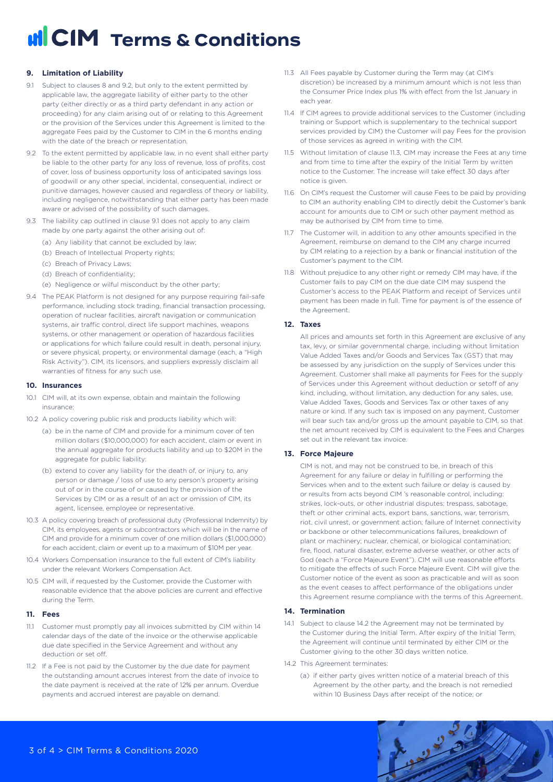### **9. Limitation of Liability**

- 9.1 Subject to clauses 8 and 9.2, but only to the extent permitted by applicable law, the aggregate liability of either party to the other party (either directly or as a third party defendant in any action or proceeding) for any claim arising out of or relating to this Agreement or the provision of the Services under this Agreement is limited to the aggregate Fees paid by the Customer to CIM in the 6 months ending with the date of the breach or representation.
- 9.2 To the extent permitted by applicable law, in no event shall either party be liable to the other party for any loss of revenue, loss of profits, cost of cover, loss of business opportunity loss of anticipated savings loss of goodwill or any other special, incidental, consequential, indirect or punitive damages, however caused and regardless of theory or liability, including negligence, notwithstanding that either party has been made aware or advised of the possibility of such damages.
- 9.3 The liability cap outlined in clause 9.1 does not apply to any claim made by one party against the other arising out of:
	- (a) Any liability that cannot be excluded by law;
	- (b) Breach of Intellectual Property rights;
	- (c) Breach of Privacy Laws;
	- (d) Breach of confidentiality;
	- (e) Negligence or wilful misconduct by the other party;
- 9.4 The PEAK Platform is not designed for any purpose requiring fail-safe performance, including stock trading, financial transaction processing, operation of nuclear facilities, aircraft navigation or communication systems, air traffic control, direct life support machines, weapons systems, or other management or operation of hazardous facilities or applications for which failure could result in death, personal injury, or severe physical, property, or environmental damage (each, a "High Risk Activity"). CIM, its licensors, and suppliers expressly disclaim all warranties of fitness for any such use.

### **10. Insurances**

- 10.1 CIM will, at its own expense, obtain and maintain the following insurance:
- 10.2 A policy covering public risk and products liability which will:
	- (a) be in the name of CIM and provide for a minimum cover of ten million dollars (\$10,000,000) for each accident, claim or event in the annual aggregate for products liability and up to \$20M in the aggregate for public liability:
	- (b) extend to cover any liability for the death of, or injury to, any person or damage / loss of use to any person's property arising out of or in the course of or caused by the provision of the Services by CIM or as a result of an act or omission of CIM, its agent, licensee, employee or representative.
- 10.3 A policy covering breach of professional duty (Professional Indemnity) by CIM, its employees, agents or subcontractors which will be in the name of CIM and provide for a minimum cover of one million dollars (\$1,000,000) for each accident, claim or event up to a maximum of \$10M per year.
- 10.4 Workers Compensation insurance to the full extent of CIM's liability under the relevant Workers Compensation Act.
- 10.5 CIM will, if requested by the Customer, provide the Customer with reasonable evidence that the above policies are current and effective during the Term.

#### **11. Fees**

- 11.1 Customer must promptly pay all invoices submitted by CIM within 14 calendar days of the date of the invoice or the otherwise applicable due date specified in the Service Agreement and without any deduction or set off.
- 11.2 If a Fee is not paid by the Customer by the due date for payment the outstanding amount accrues interest from the date of invoice to the date payment is received at the rate of 12% per annum. Overdue payments and accrued interest are payable on demand.
- 11.3 All Fees payable by Customer during the Term may (at CIM's discretion) be increased by a minimum amount which is not less than the Consumer Price Index plus 1% with effect from the 1st January in each year.
- 11.4 If CIM agrees to provide additional services to the Customer (including training or Support which is supplementary to the technical support services provided by CIM) the Customer will pay Fees for the provision of those services as agreed in writing with the CIM.
- 11.5 Without limitation of clause 11.3, CIM may increase the Fees at any time and from time to time after the expiry of the Initial Term by written notice to the Customer. The increase will take effect 30 days after notice is given.
- 11.6 On CIM's request the Customer will cause Fees to be paid by providing to CIM an authority enabling CIM to directly debit the Customer's bank account for amounts due to CIM or such other payment method as may be authorised by CIM from time to time.
- 11.7 The Customer will, in addition to any other amounts specified in the Agreement, reimburse on demand to the CIM any charge incurred by CIM relating to a rejection by a bank or financial institution of the Customer's payment to the CIM.
- 11.8 Without prejudice to any other right or remedy CIM may have, if the Customer fails to pay CIM on the due date CIM may suspend the Customer's access to the PEAK Platform and receipt of Services until payment has been made in full. Time for payment is of the essence of the Agreement.

### **12. Taxes**

All prices and amounts set forth in this Agreement are exclusive of any tax, levy, or similar governmental charge, including without limitation Value Added Taxes and/or Goods and Services Tax (GST) that may be assessed by any jurisdiction on the supply of Services under this Agreement. Customer shall make all payments for Fees for the supply of Services under this Agreement without deduction or setoff of any kind, including, without limitation, any deduction for any sales, use, Value Added Taxes, Goods and Services Tax or other taxes of any nature or kind. If any such tax is imposed on any payment, Customer will bear such tax and/or gross up the amount payable to CIM, so that the net amount received by CIM is equivalent to the Fees and Charges set out in the relevant tax invoice.

### **13. Force Majeure**

CIM is not, and may not be construed to be, in breach of this Agreement for any failure or delay in fulfilling or performing the Services when and to the extent such failure or delay is caused by or results from acts beyond CIM 's reasonable control, including: strikes, lock-outs, or other industrial disputes; trespass, sabotage, theft or other criminal acts, export bans, sanctions, war, terrorism, riot, civil unrest, or government action; failure of Internet connectivity or backbone or other telecommunications failures, breakdown of plant or machinery; nuclear, chemical, or biological contamination; fire, flood, natural disaster, extreme adverse weather, or other acts of God (each a "Force Majeure Event"). CIM will use reasonable efforts to mitigate the effects of such Force Majeure Event. CIM will give the Customer notice of the event as soon as practicable and will as soon as the event ceases to affect performance of the obligations under this Agreement resume compliance with the terms of this Agreement.

### **14. Termination**

- 14.1 Subject to clause 14.2 the Agreement may not be terminated by the Customer during the Initial Term. After expiry of the Initial Term, the Agreement will continue until terminated by either CIM or the Customer giving to the other 30 days written notice.
- 14.2 This Agreement terminates:
	- (a) if either party gives written notice of a material breach of this Agreement by the other party, and the breach is not remedied within 10 Business Days after receipt of the notice; or